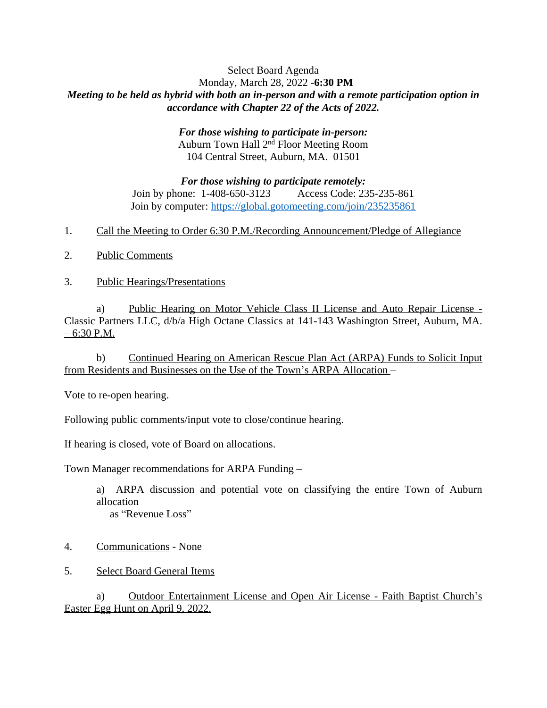## Select Board Agenda Monday, March 28, 2022 -**6:30 PM** *Meeting to be held as hybrid with both an in-person and with a remote participation option in accordance with Chapter 22 of the Acts of 2022.*

## *For those wishing to participate in-person:* Auburn Town Hall 2nd Floor Meeting Room 104 Central Street, Auburn, MA. 01501

*For those wishing to participate remotely:* Join by phone: 1-408-650-3123 Access Code: 235-235-861 Join by computer:<https://global.gotomeeting.com/join/235235861>

- 1. Call the Meeting to Order 6:30 P.M./Recording Announcement/Pledge of Allegiance
- 2. Public Comments
- 3. Public Hearings/Presentations

a) Public Hearing on Motor Vehicle Class II License and Auto Repair License - Classic Partners LLC, d/b/a High Octane Classics at 141-143 Washington Street, Auburn, MA.  $-6:30$  P.M.

b) Continued Hearing on American Rescue Plan Act (ARPA) Funds to Solicit Input from Residents and Businesses on the Use of the Town's ARPA Allocation –

Vote to re-open hearing.

Following public comments/input vote to close/continue hearing.

If hearing is closed, vote of Board on allocations.

Town Manager recommendations for ARPA Funding –

a) ARPA discussion and potential vote on classifying the entire Town of Auburn allocation as "Revenue Loss"

- 4. Communications None
- 5. Select Board General Items

a) Outdoor Entertainment License and Open Air License - Faith Baptist Church's Easter Egg Hunt on April 9, 2022.